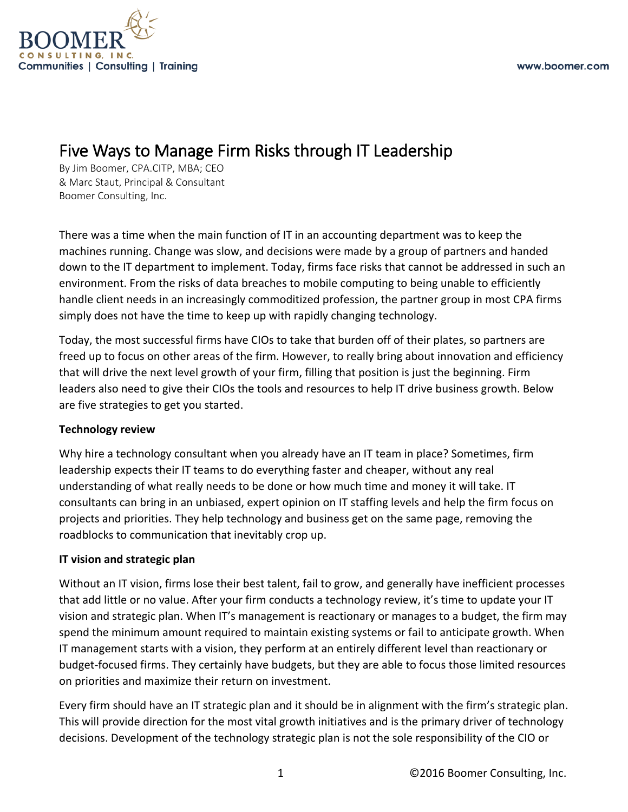

# Five Ways to Manage Firm Risks through IT Leadership By Jim Boomer, CPA.CITP, MBA; CEO

& Marc Staut, Principal & Consultant Boomer Consulting, Inc.

There was a time when the main function of IT in an accounting department was to keep the machines running. Change was slow, and decisions were made by a group of partners and handed down to the IT department to implement. Today, firms face risks that cannot be addressed in such an environment. From the risks of data breaches to mobile computing to being unable to efficiently handle client needs in an increasingly commoditized profession, the partner group in most CPA firms simply does not have the time to keep up with rapidly changing technology.

Today, the most successful firms have CIOs to take that burden off of their plates, so partners are freed up to focus on other areas of the firm. However, to really bring about innovation and efficiency that will drive the next level growth of your firm, filling that position is just the beginning. Firm leaders also need to give their CIOs the tools and resources to help IT drive business growth. Below are five strategies to get you started.

# **Technology review**

Why hire a technology consultant when you already have an IT team in place? Sometimes, firm leadership expects their IT teams to do everything faster and cheaper, without any real understanding of what really needs to be done or how much time and money it will take. IT consultants can bring in an unbiased, expert opinion on IT staffing levels and help the firm focus on projects and priorities. They help technology and business get on the same page, removing the roadblocks to communication that inevitably crop up.

# **IT vision and strategic plan**

Without an IT vision, firms lose their best talent, fail to grow, and generally have inefficient processes that add little or no value. After your firm conducts a technology review, it's time to update your IT vision and strategic plan. When IT's management is reactionary or manages to a budget, the firm may spend the minimum amount required to maintain existing systems or fail to anticipate growth. When IT management starts with a vision, they perform at an entirely different level than reactionary or budget-focused firms. They certainly have budgets, but they are able to focus those limited resources on priorities and maximize their return on investment.

Every firm should have an IT strategic plan and it should be in alignment with the firm's strategic plan. This will provide direction for the most vital growth initiatives and is the primary driver of technology decisions. Development of the technology strategic plan is not the sole responsibility of the CIO or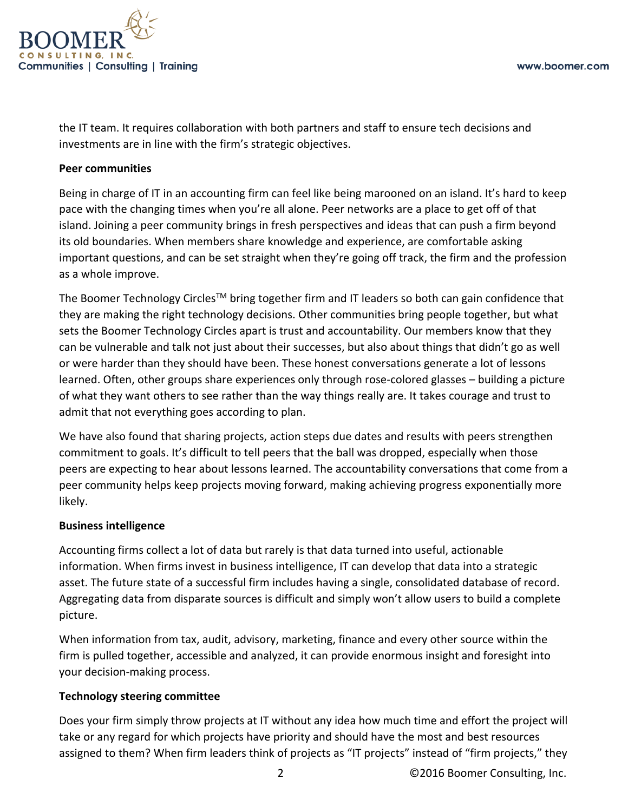

the IT team. It requires collaboration with both partners and staff to ensure tech decisions and investments are in line with the firm's strategic objectives.

# **Peer communities**

Being in charge of IT in an accounting firm can feel like being marooned on an island. It's hard to keep pace with the changing times when you're all alone. Peer networks are a place to get off of that island. Joining a peer community brings in fresh perspectives and ideas that can push a firm beyond its old boundaries. When members share knowledge and experience, are comfortable asking important questions, and can be set straight when they're going off track, the firm and the profession as a whole improve.

The Boomer Technology Circles<sup>™</sup> bring together firm and IT leaders so both can gain confidence that they are making the right technology decisions. Other communities bring people together, but what sets the Boomer Technology Circles apart is trust and accountability. Our members know that they can be vulnerable and talk not just about their successes, but also about things that didn't go as well or were harder than they should have been. These honest conversations generate a lot of lessons learned. Often, other groups share experiences only through rose-colored glasses – building a picture of what they want others to see rather than the way things really are. It takes courage and trust to admit that not everything goes according to plan.

We have also found that sharing projects, action steps due dates and results with peers strengthen commitment to goals. It's difficult to tell peers that the ball was dropped, especially when those peers are expecting to hear about lessons learned. The accountability conversations that come from a peer community helps keep projects moving forward, making achieving progress exponentially more likely.

# **Business intelligence**

Accounting firms collect a lot of data but rarely is that data turned into useful, actionable information. When firms invest in business intelligence, IT can develop that data into a strategic asset. The future state of a successful firm includes having a single, consolidated database of record. Aggregating data from disparate sources is difficult and simply won't allow users to build a complete picture.

When information from tax, audit, advisory, marketing, finance and every other source within the firm is pulled together, accessible and analyzed, it can provide enormous insight and foresight into your decision-making process.

# **Technology steering committee**

Does your firm simply throw projects at IT without any idea how much time and effort the project will take or any regard for which projects have priority and should have the most and best resources assigned to them? When firm leaders think of projects as "IT projects" instead of "firm projects," they